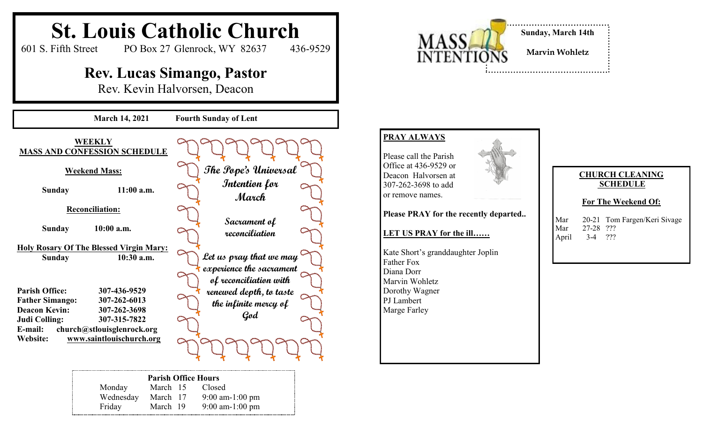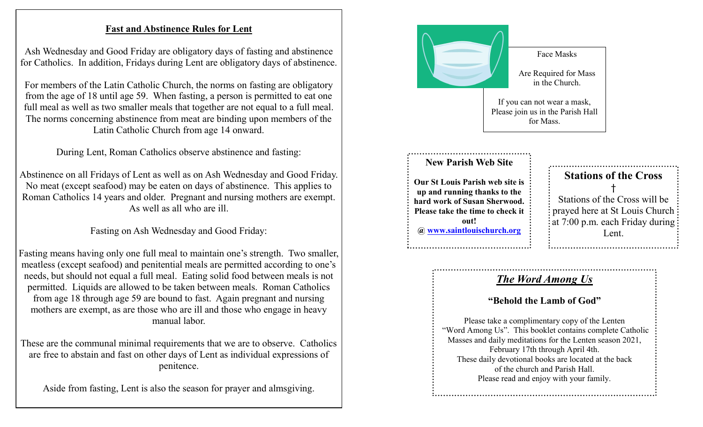## **Fast and Abstinence Rules for Lent**

Ash Wednesday and Good Friday are obligatory days of fasting and abstinence for Catholics. In addition, Fridays during Lent are obligatory days of abstinence.

For members of the Latin Catholic Church, the norms on fasting are obligatory from the age of 18 until age 59. When fasting, a person is permitted to eat one full meal as well as two smaller meals that together are not equal to a full meal. The norms concerning abstinence from meat are binding upon members of the Latin Catholic Church from age 14 onward.

During Lent, Roman Catholics observe abstinence and fasting:

Abstinence on all Fridays of Lent as well as on Ash Wednesday and Good Friday. No meat (except seafood) may be eaten on days of abstinence. This applies to Roman Catholics 14 years and older. Pregnant and nursing mothers are exempt. As well as all who are ill.

Fasting on Ash Wednesday and Good Friday:

Fasting means having only one full meal to maintain one's strength. Two smaller, meatless (except seafood) and penitential meals are permitted according to one's needs, but should not equal a full meal. Eating solid food between meals is not permitted. Liquids are allowed to be taken between meals. Roman Catholics from age 18 through age 59 are bound to fast. Again pregnant and nursing mothers are exempt, as are those who are ill and those who engage in heavy manual labor.

These are the communal minimal requirements that we are to observe. Catholics are free to abstain and fast on other days of Lent as individual expressions of penitence.

Aside from fasting, Lent is also the season for prayer and almsgiving.



Please read and enjoy with your family.